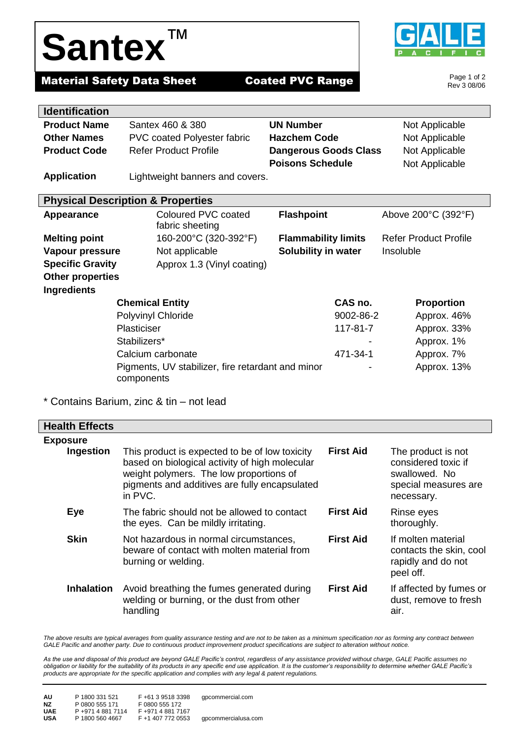## **Santex**™



Page 1 of 2 Rev 3 08/06

## **Material Safety Data Sheet Coated PVC Range**

| <b>Identification</b>                        |                                                                 |                              |                              |
|----------------------------------------------|-----------------------------------------------------------------|------------------------------|------------------------------|
| <b>Product Name</b>                          | Santex 460 & 380                                                | <b>UN Number</b>             | Not Applicable               |
| <b>Other Names</b>                           | <b>PVC coated Polyester fabric</b>                              | <b>Hazchem Code</b>          | Not Applicable               |
| <b>Product Code</b>                          | <b>Refer Product Profile</b>                                    | <b>Dangerous Goods Class</b> | Not Applicable               |
|                                              |                                                                 | <b>Poisons Schedule</b>      | Not Applicable               |
| <b>Application</b>                           | Lightweight banners and covers.                                 |                              |                              |
|                                              |                                                                 |                              |                              |
| <b>Physical Description &amp; Properties</b> |                                                                 |                              |                              |
| <b>Appearance</b>                            | Coloured PVC coated                                             | <b>Flashpoint</b>            | Above 200°C (392°F)          |
|                                              | fabric sheeting                                                 |                              |                              |
| <b>Melting point</b>                         | 160-200°C (320-392°F)                                           | <b>Flammability limits</b>   | <b>Refer Product Profile</b> |
| Vapour pressure                              | Not applicable                                                  | <b>Solubility in water</b>   | Insoluble                    |
| <b>Specific Gravity</b>                      | Approx 1.3 (Vinyl coating)                                      |                              |                              |
| <b>Other properties</b>                      |                                                                 |                              |                              |
| <b>Ingredients</b>                           |                                                                 |                              |                              |
| <b>Chemical Entity</b>                       |                                                                 | CAS no.                      | <b>Proportion</b>            |
| Polyvinyl Chloride                           |                                                                 | 9002-86-2                    | Approx. 46%                  |
| Plasticiser                                  |                                                                 | 117-81-7                     | Approx. 33%                  |
|                                              | Stabilizers*                                                    |                              | Approx. 1%                   |
|                                              | Calcium carbonate                                               | 471-34-1                     | Approx. 7%                   |
|                                              | Pigments, UV stabilizer, fire retardant and minor<br>components |                              | Approx. 13%                  |

\* Contains Barium, zinc & tin – not lead

| <b>Health Effects</b> |                                                                                                                                                                                                         |                  |                                                                                                  |
|-----------------------|---------------------------------------------------------------------------------------------------------------------------------------------------------------------------------------------------------|------------------|--------------------------------------------------------------------------------------------------|
| <b>Exposure</b>       |                                                                                                                                                                                                         |                  |                                                                                                  |
| Ingestion             | This product is expected to be of low toxicity<br>based on biological activity of high molecular<br>weight polymers. The low proportions of<br>pigments and additives are fully encapsulated<br>in PVC. | <b>First Aid</b> | The product is not<br>considered toxic if<br>swallowed. No<br>special measures are<br>necessary. |
| Eye                   | The fabric should not be allowed to contact<br>the eyes. Can be mildly irritating.                                                                                                                      | <b>First Aid</b> | Rinse eyes<br>thoroughly.                                                                        |
| <b>Skin</b>           | Not hazardous in normal circumstances,<br>beware of contact with molten material from<br>burning or welding.                                                                                            | <b>First Aid</b> | If molten material<br>contacts the skin, cool<br>rapidly and do not<br>peel off.                 |
| <b>Inhalation</b>     | Avoid breathing the fumes generated during<br>welding or burning, or the dust from other<br>handling                                                                                                    | <b>First Aid</b> | If affected by fumes or<br>dust, remove to fresh<br>air.                                         |

The above results are typical averages from quality assurance testing and are not to be taken as a minimum specification nor as forming any contract between *GALE Pacific and another party. Due to continuous product improvement product specifications are subject to alteration without notice.*

*As the use and disposal of this product are beyond GALE Pacific's control, regardless of any assistance provided without charge, GALE Pacific assumes no obligation or liability for the suitability of its products in any specific end use application. It is the customer's responsibility to determine whether GALE Pacific's products are appropriate for the specific application and complies with any legal & patent regulations.*